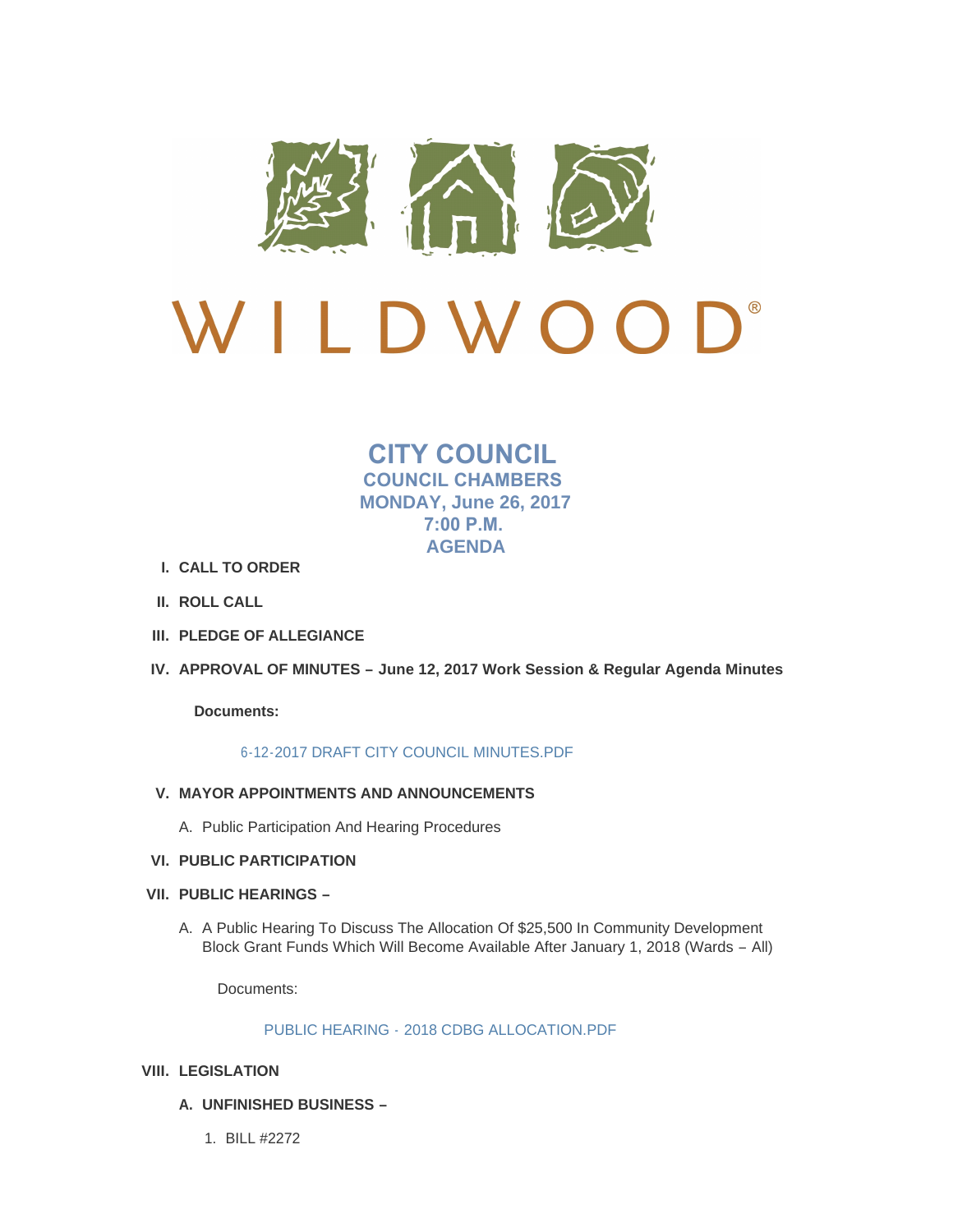

# $\bigcup$ <sup>®</sup> LDWOO

## **CITY COUNCIL COUNCIL CHAMBERS MONDAY, June 26, 2017 7:00 P.M. AGENDA**

- **CALL TO ORDER I.**
- **ROLL CALL II.**
- **PLEDGE OF ALLEGIANCE III.**
- **APPROVAL OF MINUTES – June 12, 2017 Work Session & Regular Agenda Minutes IV.**

**Documents:**

## [6-12-2017 DRAFT CITY COUNCIL MINUTES.PDF](http://cityofwildwood.com/AgendaCenter/ViewFile/Item/11263?fileID=16064)

- **MAYOR APPOINTMENTS AND ANNOUNCEMENTS V.**
	- A. Public Participation And Hearing Procedures
- **PUBLIC PARTICIPATION VI.**
- **PUBLIC HEARINGS – VII.**
	- A. A Public Hearing To Discuss The Allocation Of \$25,500 In Community Development Block Grant Funds Which Will Become Available After January 1, 2018 (Wards – All)

Documents:

## PUBLIC HEARING - [2018 CDBG ALLOCATION.PDF](http://cityofwildwood.com/AgendaCenter/ViewFile/Item/11268?fileID=16065)

## **LEGISLATION VIII.**

- **UNFINISHED BUSINESS – A.**
	- BILL #2272 1.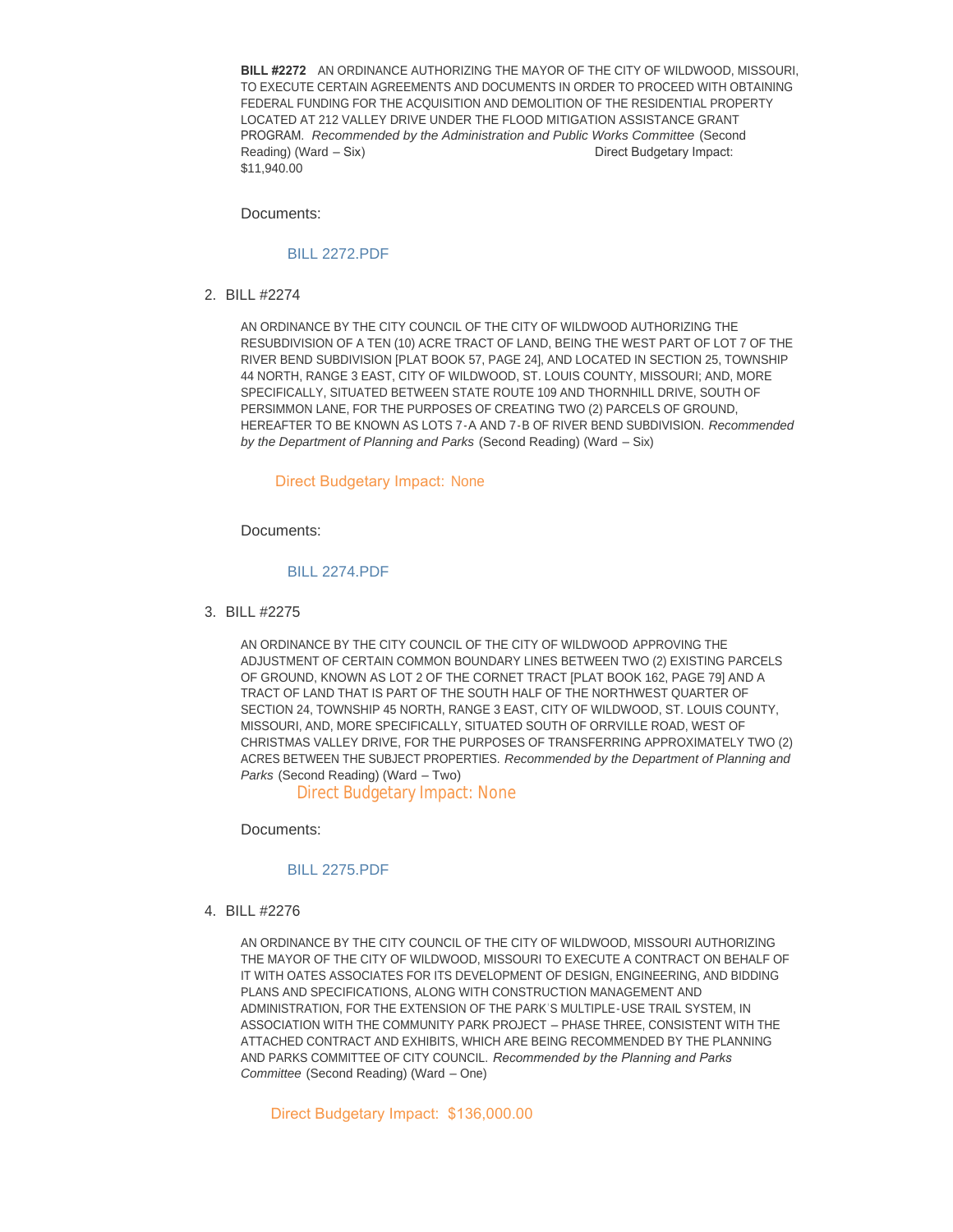**BILL #2272** AN ORDINANCE AUTHORIZING THE MAYOR OF THE CITY OF WILDWOOD, MISSOURI, TO EXECUTE CERTAIN AGREEMENTS AND DOCUMENTS IN ORDER TO PROCEED WITH OBTAINING FEDERAL FUNDING FOR THE ACQUISITION AND DEMOLITION OF THE RESIDENTIAL PROPERTY LOCATED AT 212 VALLEY DRIVE UNDER THE FLOOD MITIGATION ASSISTANCE GRANT PROGRAM. *Recommended by the Administration and Public Works Committee* (Second Reading) (Ward – Six) Direct Budgetary Impact: \$11,940.00

Documents:

### [BILL 2272.PDF](http://cityofwildwood.com/AgendaCenter/ViewFile/Item/11271?fileID=16066)

BILL #2274 2.

AN ORDINANCE BY THE CITY COUNCIL OF THE CITY OF WILDWOOD AUTHORIZING THE RESUBDIVISION OF A TEN (10) ACRE TRACT OF LAND, BEING THE WEST PART OF LOT 7 OF THE RIVER BEND SUBDIVISION [PLAT BOOK 57, PAGE 24], AND LOCATED IN SECTION 25, TOWNSHIP 44 NORTH, RANGE 3 EAST, CITY OF WILDWOOD, ST. LOUIS COUNTY, MISSOURI; AND, MORE SPECIFICALLY, SITUATED BETWEEN STATE ROUTE 109 AND THORNHILL DRIVE, SOUTH OF PERSIMMON LANE, FOR THE PURPOSES OF CREATING TWO (2) PARCELS OF GROUND, HEREAFTER TO BE KNOWN AS LOTS 7-A AND 7-B OF RIVER BEND SUBDIVISION. *Recommended by the Department of Planning and Parks* (Second Reading) (Ward – Six)

#### Direct Budgetary Impact: None

Documents:

#### [BILL 2274.PDF](http://cityofwildwood.com/AgendaCenter/ViewFile/Item/11272?fileID=16067)

BILL #2275 3.

AN ORDINANCE BY THE CITY COUNCIL OF THE CITY OF WILDWOOD APPROVING THE ADJUSTMENT OF CERTAIN COMMON BOUNDARY LINES BETWEEN TWO (2) EXISTING PARCELS OF GROUND, KNOWN AS LOT 2 OF THE CORNET TRACT [PLAT BOOK 162, PAGE 79] AND A TRACT OF LAND THAT IS PART OF THE SOUTH HALF OF THE NORTHWEST QUARTER OF SECTION 24, TOWNSHIP 45 NORTH, RANGE 3 EAST, CITY OF WILDWOOD, ST. LOUIS COUNTY, MISSOURI, AND, MORE SPECIFICALLY, SITUATED SOUTH OF ORRVILLE ROAD, WEST OF CHRISTMAS VALLEY DRIVE, FOR THE PURPOSES OF TRANSFERRING APPROXIMATELY TWO (2) ACRES BETWEEN THE SUBJECT PROPERTIES. *Recommended by the Department of Planning and Parks* (Second Reading) (Ward – Two)

Direct Budgetary Impact: None

Documents:

#### [BILL 2275.PDF](http://cityofwildwood.com/AgendaCenter/ViewFile/Item/11273?fileID=16068)

BILL #2276 4.

AN ORDINANCE BY THE CITY COUNCIL OF THE CITY OF WILDWOOD, MISSOURI AUTHORIZING THE MAYOR OF THE CITY OF WILDWOOD, MISSOURI TO EXECUTE A CONTRACT ON BEHALF OF IT WITH OATES ASSOCIATES FOR ITS DEVELOPMENT OF DESIGN, ENGINEERING, AND BIDDING PLANS AND SPECIFICATIONS, ALONG WITH CONSTRUCTION MANAGEMENT AND ADMINISTRATION, FOR THE EXTENSION OF THE PARK'S MULTIPLE-USE TRAIL SYSTEM, IN ASSOCIATION WITH THE COMMUNITY PARK PROJECT – PHASE THREE, CONSISTENT WITH THE ATTACHED CONTRACT AND EXHIBITS, WHICH ARE BEING RECOMMENDED BY THE PLANNING AND PARKS COMMITTEE OF CITY COUNCIL. *Recommended by the Planning and Parks Committee* (Second Reading) (Ward – One)

Direct Budgetary Impact: \$136,000.00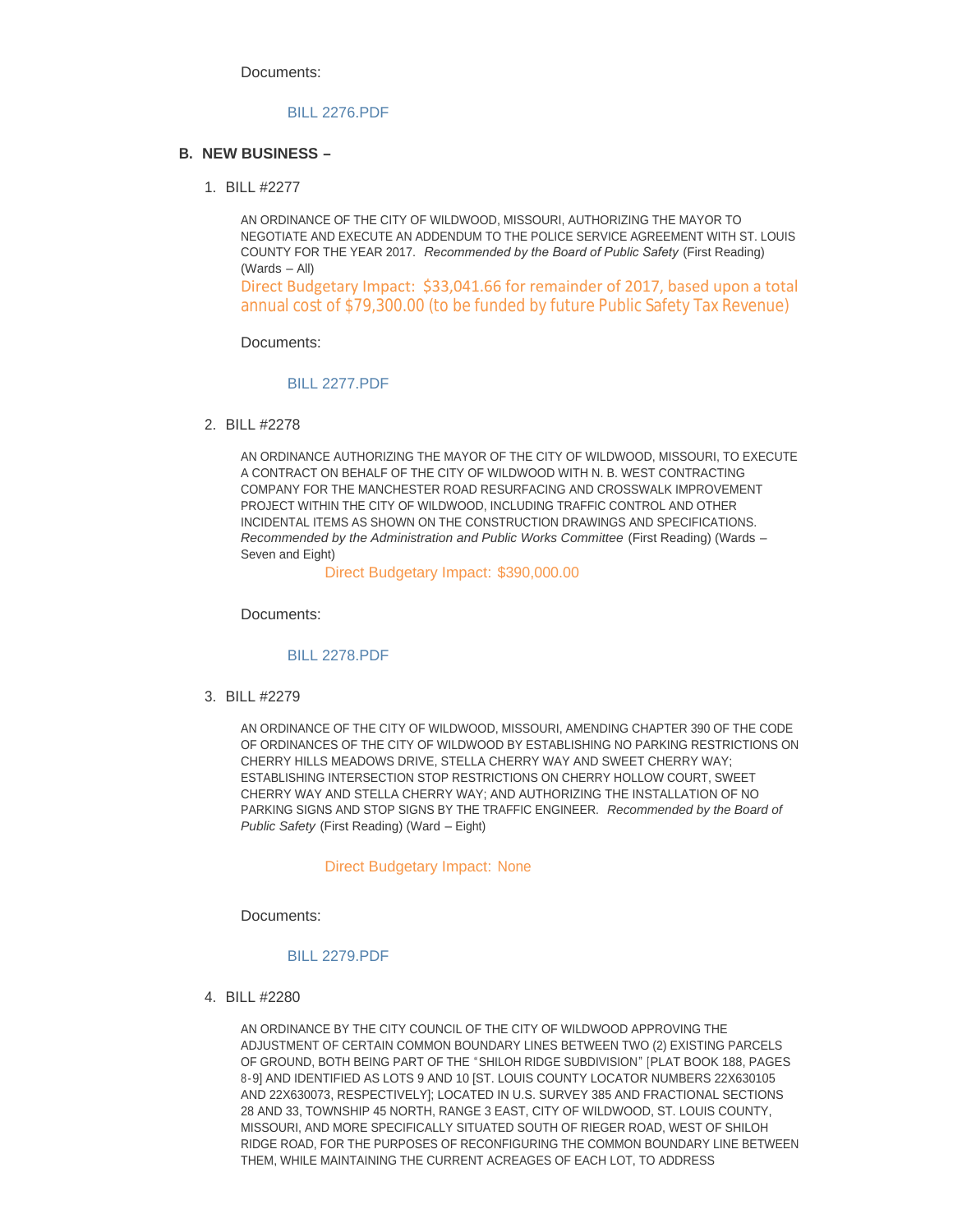Documents:

#### [BILL 2276.PDF](http://cityofwildwood.com/AgendaCenter/ViewFile/Item/11274?fileID=16069)

#### **NEW BUSINESS – B.**

BILL #2277 1.

AN ORDINANCE OF THE CITY OF WILDWOOD, MISSOURI, AUTHORIZING THE MAYOR TO NEGOTIATE AND EXECUTE AN ADDENDUM TO THE POLICE SERVICE AGREEMENT WITH ST. LOUIS COUNTY FOR THE YEAR 2017. *Recommended by the Board of Public Safety* (First Reading) (Wards – All)

Direct Budgetary Impact: \$33,041.66 for remainder of 2017, based upon a total annual cost of \$79,300.00 (to be funded by future Public Safety Tax Revenue)

Documents:

#### [BILL 2277.PDF](http://cityofwildwood.com/AgendaCenter/ViewFile/Item/11276?fileID=16070)

BILL #2278 2.

AN ORDINANCE AUTHORIZING THE MAYOR OF THE CITY OF WILDWOOD, MISSOURI, TO EXECUTE A CONTRACT ON BEHALF OF THE CITY OF WILDWOOD WITH N. B. WEST CONTRACTING COMPANY FOR THE MANCHESTER ROAD RESURFACING AND CROSSWALK IMPROVEMENT PROJECT WITHIN THE CITY OF WILDWOOD, INCLUDING TRAFFIC CONTROL AND OTHER INCIDENTAL ITEMS AS SHOWN ON THE CONSTRUCTION DRAWINGS AND SPECIFICATIONS. *Recommended by the Administration and Public Works Committee* (First Reading) (Wards – Seven and Eight)

Direct Budgetary Impact: \$390,000.00

Documents:

#### [BILL 2278.PDF](http://cityofwildwood.com/AgendaCenter/ViewFile/Item/11277?fileID=16080)

BILL #2279 3.

AN ORDINANCE OF THE CITY OF WILDWOOD, MISSOURI, AMENDING CHAPTER 390 OF THE CODE OF ORDINANCES OF THE CITY OF WILDWOOD BY ESTABLISHING NO PARKING RESTRICTIONS ON CHERRY HILLS MEADOWS DRIVE, STELLA CHERRY WAY AND SWEET CHERRY WAY; ESTABLISHING INTERSECTION STOP RESTRICTIONS ON CHERRY HOLLOW COURT, SWEET CHERRY WAY AND STELLA CHERRY WAY; AND AUTHORIZING THE INSTALLATION OF NO PARKING SIGNS AND STOP SIGNS BY THE TRAFFIC ENGINEER. *Recommended by the Board of Public Safety* (First Reading) (Ward – Eight)

#### Direct Budgetary Impact: None

Documents:

#### [BILL 2279.PDF](http://cityofwildwood.com/AgendaCenter/ViewFile/Item/11278?fileID=16071)

BILL #2280 4.

AN ORDINANCE BY THE CITY COUNCIL OF THE CITY OF WILDWOOD APPROVING THE ADJUSTMENT OF CERTAIN COMMON BOUNDARY LINES BETWEEN TWO (2) EXISTING PARCELS OF GROUND, BOTH BEING PART OF THE "SHILOH RIDGE SUBDIVISION" [PLAT BOOK 188, PAGES 8-9] AND IDENTIFIED AS LOTS 9 AND 10 [ST. LOUIS COUNTY LOCATOR NUMBERS 22X630105 AND 22X630073, RESPECTIVELY]; LOCATED IN U.S. SURVEY 385 AND FRACTIONAL SECTIONS 28 AND 33, TOWNSHIP 45 NORTH, RANGE 3 EAST, CITY OF WILDWOOD, ST. LOUIS COUNTY, MISSOURI, AND MORE SPECIFICALLY SITUATED SOUTH OF RIEGER ROAD, WEST OF SHILOH RIDGE ROAD, FOR THE PURPOSES OF RECONFIGURING THE COMMON BOUNDARY LINE BETWEEN THEM, WHILE MAINTAINING THE CURRENT ACREAGES OF EACH LOT, TO ADDRESS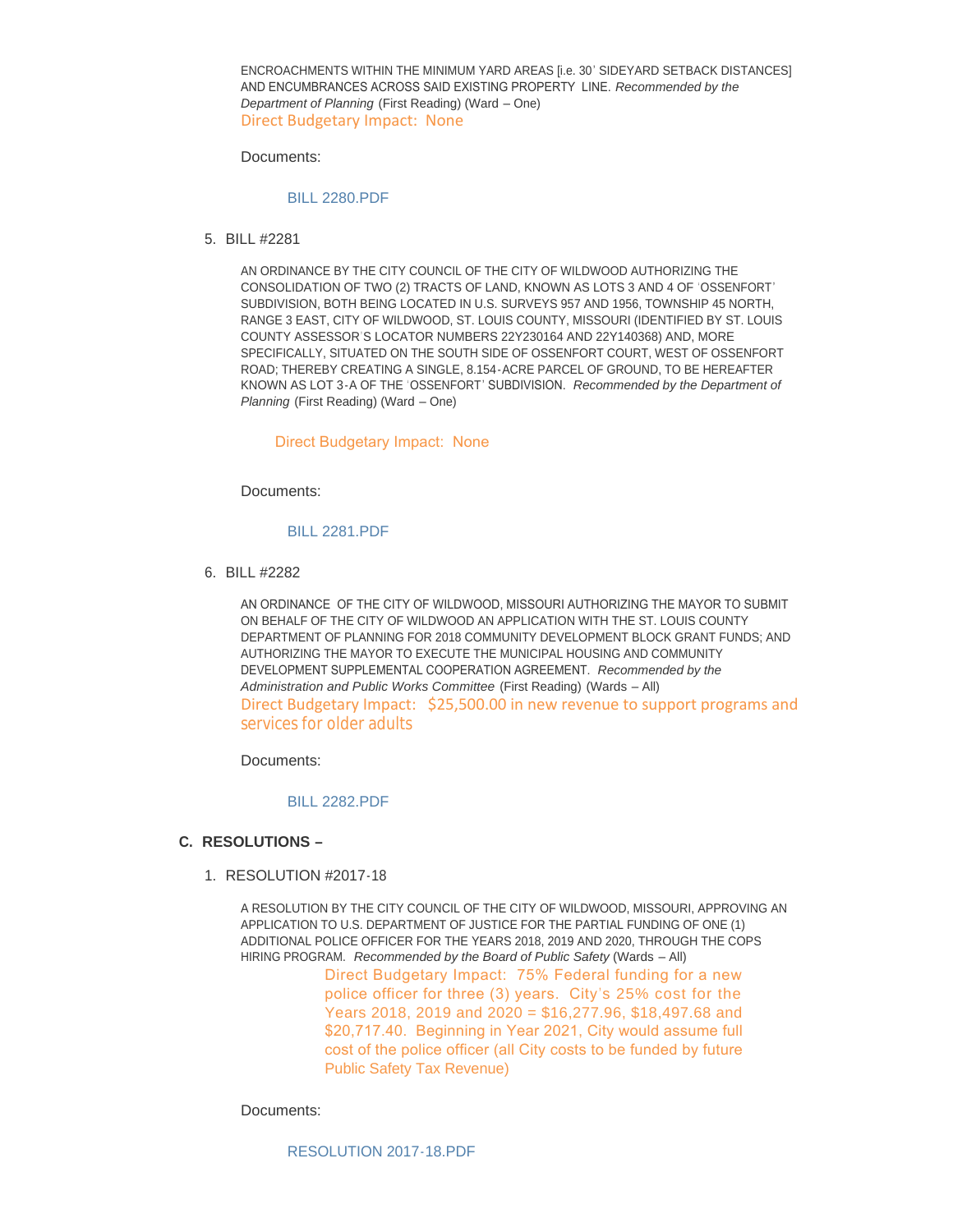ENCROACHMENTS WITHIN THE MINIMUM YARD AREAS [i.e. 30' SIDEYARD SETBACK DISTANCES] AND ENCUMBRANCES ACROSS SAID EXISTING PROPERTY LINE. *Recommended by the Department of Planning* (First Reading) (Ward – One) Direct Budgetary Impact: None

Documents:

#### [BILL 2280.PDF](http://cityofwildwood.com/AgendaCenter/ViewFile/Item/11279?fileID=16072)

BILL #2281 5.

AN ORDINANCE BY THE CITY COUNCIL OF THE CITY OF WILDWOOD AUTHORIZING THE CONSOLIDATION OF TWO (2) TRACTS OF LAND, KNOWN AS LOTS 3 AND 4 OF 'OSSENFORT' SUBDIVISION, BOTH BEING LOCATED IN U.S. SURVEYS 957 AND 1956, TOWNSHIP 45 NORTH, RANGE 3 EAST, CITY OF WILDWOOD, ST. LOUIS COUNTY, MISSOURI (IDENTIFIED BY ST. LOUIS COUNTY ASSESSOR'S LOCATOR NUMBERS 22Y230164 AND 22Y140368) AND, MORE SPECIFICALLY, SITUATED ON THE SOUTH SIDE OF OSSENFORT COURT, WEST OF OSSENFORT ROAD; THEREBY CREATING A SINGLE, 8.154-ACRE PARCEL OF GROUND, TO BE HEREAFTER KNOWN AS LOT 3-A OF THE 'OSSENFORT' SUBDIVISION. *Recommended by the Department of Planning* (First Reading) (Ward – One)

#### Direct Budgetary Impact: None

Documents:

#### [BILL 2281.PDF](http://cityofwildwood.com/AgendaCenter/ViewFile/Item/11280?fileID=16111)

BILL #2282 6.

AN ORDINANCE OF THE CITY OF WILDWOOD, MISSOURI AUTHORIZING THE MAYOR TO SUBMIT ON BEHALF OF THE CITY OF WILDWOOD AN APPLICATION WITH THE ST. LOUIS COUNTY DEPARTMENT OF PLANNING FOR 2018 COMMUNITY DEVELOPMENT BLOCK GRANT FUNDS; AND AUTHORIZING THE MAYOR TO EXECUTE THE MUNICIPAL HOUSING AND COMMUNITY DEVELOPMENT SUPPLEMENTAL COOPERATION AGREEMENT. *Recommended by the Administration and Public Works Committee* (First Reading) (Wards – All) Direct Budgetary Impact: \$25,500.00 in new revenue to support programs and services for older adults

Documents:

#### [BILL 2282.PDF](http://cityofwildwood.com/AgendaCenter/ViewFile/Item/11281?fileID=16074)

### **RESOLUTIONS – C.**

1. RESOLUTION #2017-18

A RESOLUTION BY THE CITY COUNCIL OF THE CITY OF WILDWOOD, MISSOURI, APPROVING AN APPLICATION TO U.S. DEPARTMENT OF JUSTICE FOR THE PARTIAL FUNDING OF ONE (1) ADDITIONAL POLICE OFFICER FOR THE YEARS 2018, 2019 AND 2020, THROUGH THE COPS HIRING PROGRAM. *Recommended by the Board of Public Safety* (Wards – All)

> Direct Budgetary Impact: 75% Federal funding for a new police officer for three (3) years. City's 25% cost for the Years 2018, 2019 and 2020 = \$16,277.96, \$18,497.68 and \$20,717.40. Beginning in Year 2021, City would assume full cost of the police officer (all City costs to be funded by future Public Safety Tax Revenue)

Documents:

[RESOLUTION 2017-18.PDF](http://cityofwildwood.com/AgendaCenter/ViewFile/Item/11283?fileID=16075)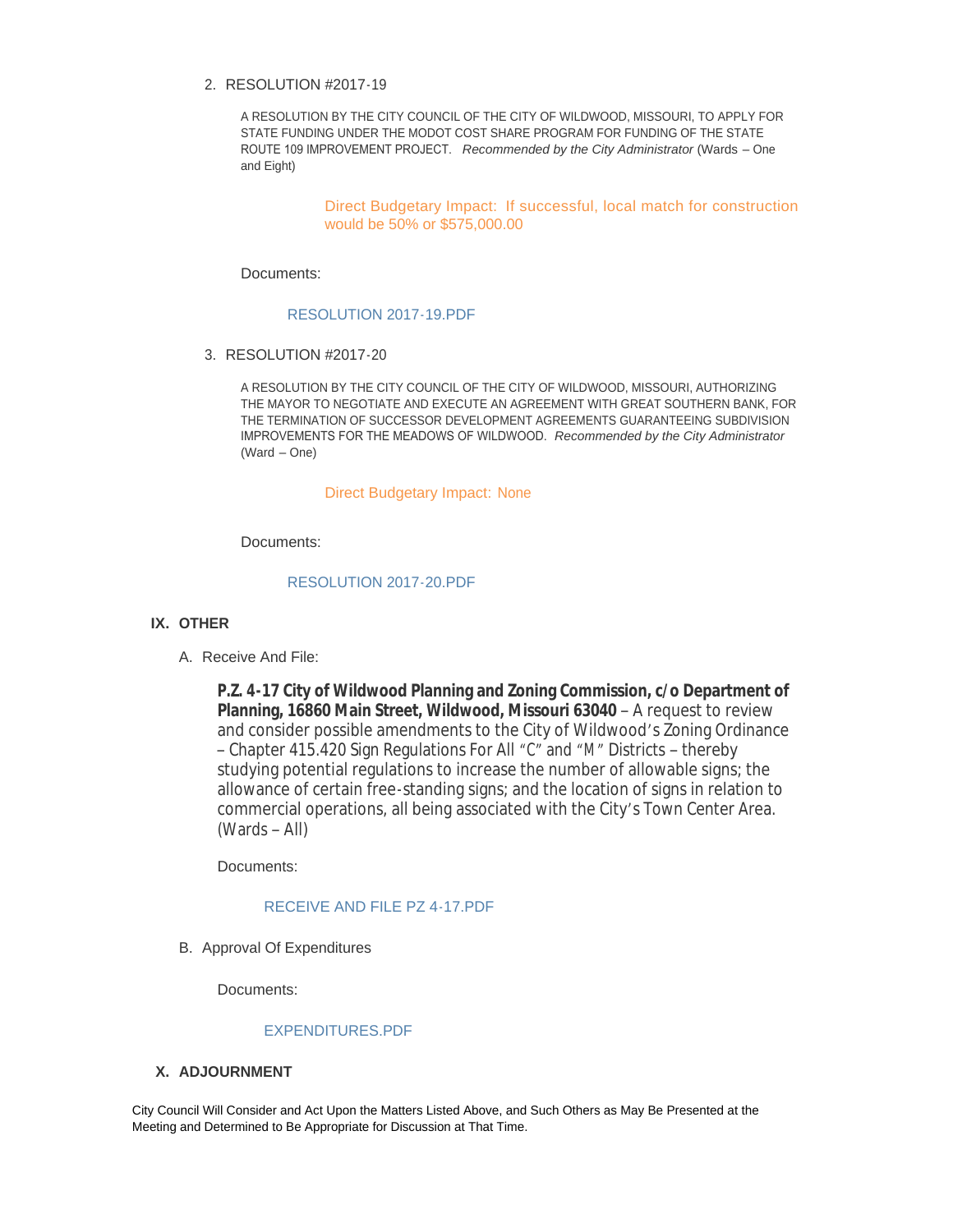## RESOLUTION #2017-19 2.

A RESOLUTION BY THE CITY COUNCIL OF THE CITY OF WILDWOOD, MISSOURI, TO APPLY FOR STATE FUNDING UNDER THE MODOT COST SHARE PROGRAM FOR FUNDING OF THE STATE ROUTE 109 IMPROVEMENT PROJECT. *Recommended by the City Administrator* (Wards – One and Eight)

> Direct Budgetary Impact: If successful, local match for construction would be 50% or \$575,000.00

Documents:

### [RESOLUTION 2017-19.PDF](http://cityofwildwood.com/AgendaCenter/ViewFile/Item/11284?fileID=16076)

RESOLUTION #2017-20 3.

A RESOLUTION BY THE CITY COUNCIL OF THE CITY OF WILDWOOD, MISSOURI, AUTHORIZING THE MAYOR TO NEGOTIATE AND EXECUTE AN AGREEMENT WITH GREAT SOUTHERN BANK, FOR THE TERMINATION OF SUCCESSOR DEVELOPMENT AGREEMENTS GUARANTEEING SUBDIVISION IMPROVEMENTS FOR THE MEADOWS OF WILDWOOD. *Recommended by the City Administrator*  (Ward – One)

### Direct Budgetary Impact: None

Documents:

### [RESOLUTION 2017-20.PDF](http://cityofwildwood.com/AgendaCenter/ViewFile/Item/11285?fileID=16077)

## **IX. OTHER**

A. Receive And File:

**P.Z. 4-17 City of Wildwood Planning and Zoning Commission, c/o Department of Planning, 16860 Main Street, Wildwood, Missouri 63040** – A request to review and consider possible amendments to the City of Wildwood's Zoning Ordinance – Chapter 415.420 Sign Regulations For All "C" and "M" Districts – thereby studying potential regulations to increase the number of allowable signs; the allowance of certain free-standing signs; and the location of signs in relation to commercial operations, all being associated with the City's Town Center Area. (Wards – All)

Documents:

## [RECEIVE AND FILE PZ 4-17.PDF](http://cityofwildwood.com/AgendaCenter/ViewFile/Item/11286?fileID=16078)

B. Approval Of Expenditures

Documents:

## [EXPENDITURES.PDF](http://cityofwildwood.com/AgendaCenter/ViewFile/Item/11287?fileID=16079)

## **ADJOURNMENT X.**

City Council Will Consider and Act Upon the Matters Listed Above, and Such Others as May Be Presented at the Meeting and Determined to Be Appropriate for Discussion at That Time.